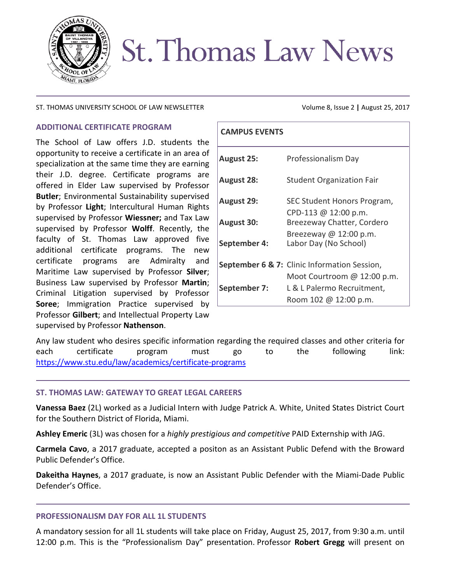

# **St. Thomas Law News**

### ST. THOMAS UNIVERSITY SCHOOL OF LAW NEWSLETTER Volume 8, Issue 2 | August 25, 2017

# **ADDITIONAL CERTIFICATE PROGRAM**

The School of Law offers J.D. students the opportunity to receive a certificate in an area of specialization at the same time they are earning their J.D. degree. Certificate programs are offered in Elder Law supervised by Professor **Butler**; Environmental Sustainability supervised by Professor **Light**; Intercultural Human Rights supervised by Professor **Wiessner;** and Tax Law supervised by Professor **Wolff**. Recently, the faculty of St. Thomas Law approved five additional certificate programs. The new certificate programs are Admiralty and Maritime Law supervised by Professor **Silver**; Business Law supervised by Professor **Martin**; Criminal Litigation supervised by Professor **Soree**; Immigration Practice supervised by Professor **Gilbert**; and Intellectual Property Law supervised by Professor **Nathenson**.

| <b>CAMPUS EVENTS</b> |                                                    |
|----------------------|----------------------------------------------------|
| <b>August 25:</b>    | Professionalism Day                                |
| <b>August 28:</b>    | <b>Student Organization Fair</b>                   |
| <b>August 29:</b>    | SEC Student Honors Program,                        |
| <b>August 30:</b>    | CPD-113 @ 12:00 p.m.<br>Breezeway Chatter, Cordero |
| September 4:         | Breezeway @ 12:00 p.m.<br>Labor Day (No School)    |
|                      | September 6 & 7: Clinic Information Session,       |
|                      | Moot Courtroom @ 12:00 p.m.                        |
| September 7:         | L & L Palermo Recruitment,                         |
|                      | Room 102 @ 12:00 p.m.                              |

Any law student who desires specific information regarding the required classes and other criteria for each certificate program must go to the following link: <https://www.stu.edu/law/academics/certificate-programs>

# **ST. THOMAS LAW: GATEWAY TO GREAT LEGAL CAREERS**

**Vanessa Baez** (2L) worked as a Judicial Intern with Judge Patrick A. White, United States District Court for the Southern District of Florida, Miami.

**Ashley Emeric** (3L) was chosen for a *highly prestigious and competitive* PAID Externship with JAG.

**Carmela Cavo**, a 2017 graduate, accepted a positon as an Assistant Public Defend with the Broward Public Defender's Office.

**Dakeitha Haynes**, a 2017 graduate, is now an Assistant Public Defender with the Miami-Dade Public Defender's Office.

#### **PROFESSIONALISM DAY FOR ALL 1L STUDENTS**

A mandatory session for all 1L students will take place on Friday, August 25, 2017, from 9:30 a.m. until 12:00 p.m. This is the "Professionalism Day" presentation. Professor **Robert Gregg** will present on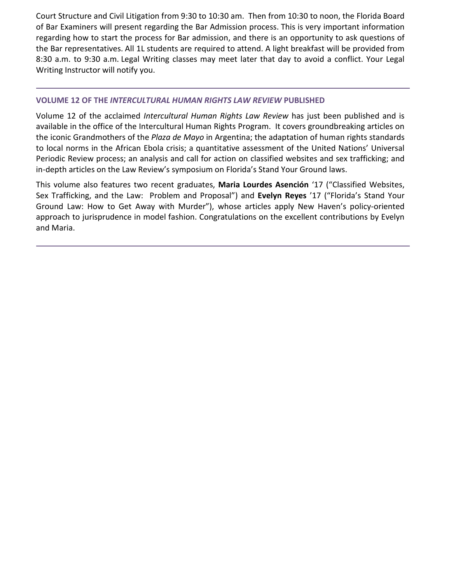Court Structure and Civil Litigation from 9:30 to 10:30 am. Then from 10:30 to noon, the Florida Board of Bar Examiners will present regarding the Bar Admission process. This is very important information regarding how to start the process for Bar admission, and there is an opportunity to ask questions of the Bar representatives. All 1L students are required to attend. A light breakfast will be provided from 8:30 a.m. to 9:30 a.m. Legal Writing classes may meet later that day to avoid a conflict. Your Legal Writing Instructor will notify you.

# **VOLUME 12 OF THE** *INTERCULTURAL HUMAN RIGHTS LAW REVIEW* **PUBLISHED**

Volume 12 of the acclaimed *Intercultural Human Rights Law Review* has just been published and is available in the office of the Intercultural Human Rights Program. It covers groundbreaking articles on the iconic Grandmothers of the *Plaza de Mayo* in Argentina; the adaptation of human rights standards to local norms in the African Ebola crisis; a quantitative assessment of the United Nations' Universal Periodic Review process; an analysis and call for action on classified websites and sex trafficking; and in-depth articles on the Law Review's symposium on Florida's Stand Your Ground laws.

This volume also features two recent graduates, **Maria Lourdes Asención** '17 ("Classified Websites, Sex Trafficking, and the Law: Problem and Proposal") and **Evelyn Reyes** '17 ("Florida's Stand Your Ground Law: How to Get Away with Murder"), whose articles apply New Haven's policy-oriented approach to jurisprudence in model fashion. Congratulations on the excellent contributions by Evelyn and Maria.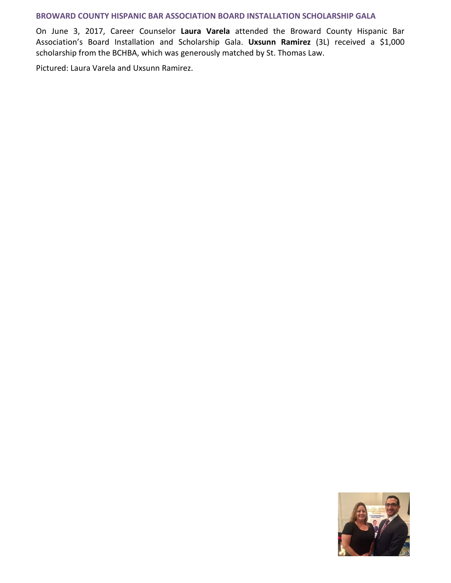### **BROWARD COUNTY HISPANIC BAR ASSOCIATION BOARD INSTALLATION SCHOLARSHIP GALA**

On June 3, 2017, Career Counselor **Laura Varela** attended the Broward County Hispanic Bar Association's Board Installation and Scholarship Gala. **Uxsunn Ramirez** (3L) received a \$1,000 scholarship from the BCHBA, which was generously matched by St. Thomas Law.

Pictured: Laura Varela and Uxsunn Ramirez.

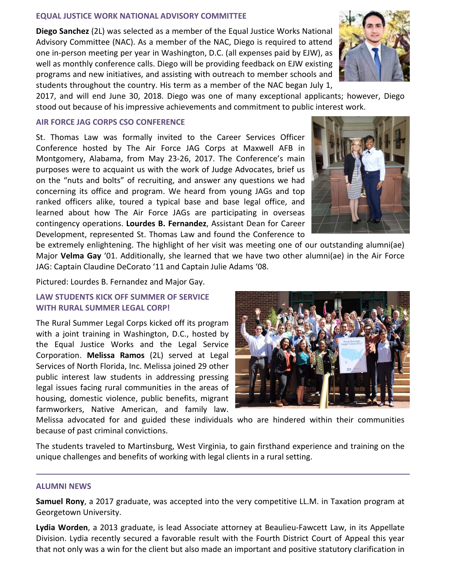## **EQUAL JUSTICE WORK NATIONAL ADVISORY COMMITTEE**

**Diego Sanchez** (2L) was selected as a member of the Equal Justice Works National Advisory Committee (NAC). As a member of the NAC, Diego is required to attend one in-person meeting per year in Washington, D.C. (all expenses paid by EJW), as well as monthly conference calls. Diego will be providing feedback on EJW existing programs and new initiatives, and assisting with outreach to member schools and students throughout the country. His term as a member of the NAC began July 1,



2017, and will end June 30, 2018. Diego was one of many exceptional applicants; however, Diego stood out because of his impressive achievements and commitment to public interest work.

### **AIR FORCE JAG CORPS CSO CONFERENCE**

St. Thomas Law was formally invited to the Career Services Officer Conference hosted by The Air Force JAG Corps at Maxwell AFB in Montgomery, Alabama, from May 23-26, 2017. The Conference's main purposes were to acquaint us with the work of Judge Advocates, brief us on the "nuts and bolts" of recruiting, and answer any questions we had concerning its office and program. We heard from young JAGs and top ranked officers alike, toured a typical base and base legal office, and learned about how The Air Force JAGs are participating in overseas contingency operations. **Lourdes B. Fernandez**, Assistant Dean for Career Development, represented St. Thomas Law and found the Conference to

be extremely enlightening. The highlight of her visit was meeting one of our outstanding alumni(ae) Major **Velma Gay** '01. Additionally, she learned that we have two other alumni(ae) in the Air Force JAG: Captain Claudine DeCorato '11 and Captain Julie Adams '08.

Pictured: Lourdes B. Fernandez and Major Gay.

# **LAW STUDENTS KICK OFF SUMMER OF SERVICE WITH RURAL SUMMER LEGAL CORP!**

The Rural Summer Legal Corps kicked off its program with a joint training in Washington, D.C., hosted by the Equal Justice Works and the Legal Service Corporation. **Melissa Ramos** (2L) served at Legal Services of North Florida, Inc. Melissa joined 29 other public interest law students in addressing pressing legal issues facing rural communities in the areas of housing, domestic violence, public benefits, migrant farmworkers, Native American, and family law.



Melissa advocated for and guided these individuals who are hindered within their communities because of past criminal convictions.

The students traveled to Martinsburg, West Virginia, to gain firsthand experience and training on the unique challenges and benefits of working with legal clients in a rural setting.

#### **ALUMNI NEWS**

**Samuel Rony**, a 2017 graduate, was accepted into the very competitive LL.M. in Taxation program at Georgetown University.

**Lydia Worden**, a 2013 graduate, is lead Associate attorney at Beaulieu-Fawcett Law, in its Appellate Division. Lydia recently secured a favorable result with the Fourth District Court of Appeal this year that not only was a win for the client but also made an important and positive statutory clarification in